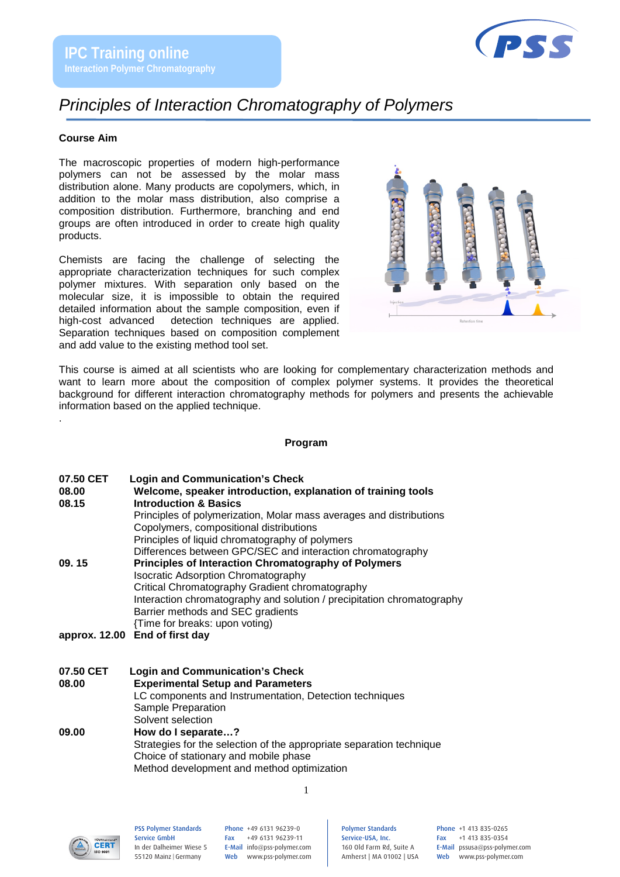

# *Principles of Interaction Chromatography of Polymers*

## **Course Aim**

The macroscopic properties of modern high-performance polymers can not be assessed by the molar mass distribution alone. Many products are copolymers, which, in addition to the molar mass distribution, also comprise a composition distribution. Furthermore, branching and end groups are often introduced in order to create high quality products.

Chemists are facing the challenge of selecting the appropriate characterization techniques for such complex polymer mixtures. With separation only based on the molecular size, it is impossible to obtain the required detailed information about the sample composition, even if high-cost advanced detection techniques are applied. Separation techniques based on composition complement and add value to the existing method tool set.



This course is aimed at all scientists who are looking for complementary characterization methods and want to learn more about the composition of complex polymer systems. It provides the theoretical background for different interaction chromatography methods for polymers and presents the achievable information based on the applied technique.

#### **Program**

| <b>Login and Communication's Check</b> | 07.50 CET |  |  |  |  |  |
|----------------------------------------|-----------|--|--|--|--|--|
|----------------------------------------|-----------|--|--|--|--|--|

.

| 08.00 | Welcome, speaker introduction, explanation of training tools           |  |  |  |
|-------|------------------------------------------------------------------------|--|--|--|
| 08.15 | <b>Introduction &amp; Basics</b>                                       |  |  |  |
|       | Principles of polymerization, Molar mass averages and distributions    |  |  |  |
|       | Copolymers, compositional distributions                                |  |  |  |
|       | Principles of liquid chromatography of polymers                        |  |  |  |
|       | Differences between GPC/SEC and interaction chromatography             |  |  |  |
| 09.15 | <b>Principles of Interaction Chromatography of Polymers</b>            |  |  |  |
|       | <b>Isocratic Adsorption Chromatography</b>                             |  |  |  |
|       | Critical Chromatography Gradient chromatography                        |  |  |  |
|       | Interaction chromatography and solution / precipitation chromatography |  |  |  |
|       | Barrier methods and SEC gradients                                      |  |  |  |
|       | {Time for breaks: upon voting)                                         |  |  |  |
|       | approx. 12.00 End of first day                                         |  |  |  |

#### **07.50 CET Login and Communication's Check 08.00 Experimental Setup and Parameters** LC components and Instrumentation, Detection techniques Sample Preparation Solvent selection **09.00 How do I separate…?** Strategies for the selection of the appropriate separation technique Choice of stationary and mobile phase

Method development and method optimization



PSS Polymer Standards Service GmbH In der Dalheimer Wiese 5 55120 Mainz |Germany

Phone +49 6131 96239-0 Fax +49 6131 96239-11 E-Mail info@pss-polymer.com Web www.pss-polymer.com

1

Polymer Standards Service-USA, Inc. 160 Old Farm Rd, Suite A Amherst | MA 01002 | USA Phone +1 413 835-0265 Fax +1 413 835-0354 E-Mail pssusa@pss-polymer.com Web www.pss-polymer.com